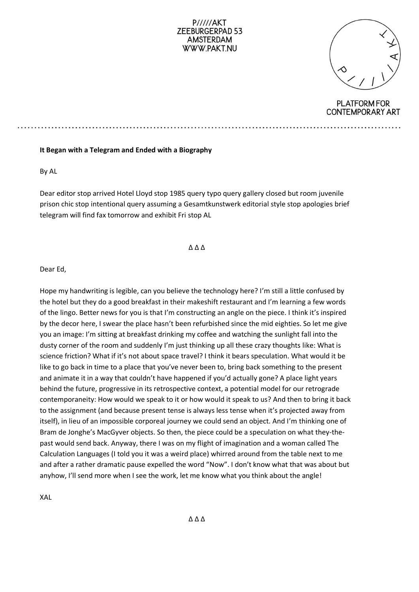### $P////AKT$ ZEEBURGERPAD 53 **AMSTERDAM** WWW.PAKT.NU

### **PLATFORM FOR CONTEMPORARY ART**

### **It Began with a Telegram and Ended with a Biography**

By AL

Dear editor stop arrived Hotel Lloyd stop 1985 query typo query gallery closed but room juvenile prison chic stop intentional query assuming a Gesamtkunstwerk editorial style stop apologies brief telegram will find fax tomorrow and exhibit Fri stop AL

∆ ∆ ∆

Dear Ed,

Hope my handwriting is legible, can you believe the technology here? I'm still a little confused by the hotel but they do a good breakfast in their makeshift restaurant and I'm learning a few words of the lingo. Better news for you is that I'm constructing an angle on the piece. I think it's inspired by the decor here, I swear the place hasn't been refurbished since the mid eighties. So let me give you an image: I'm sitting at breakfast drinking my coffee and watching the sunlight fall into the dusty corner of the room and suddenly I'm just thinking up all these crazy thoughts like: What is science friction? What if it's not about space travel? I think it bears speculation. What would it be like to go back in time to a place that you've never been to, bring back something to the present and animate it in a way that couldn't have happened if you'd actually gone? A place light years behind the future, progressive in its retrospective context, a potential model for our retrograde contemporaneity: How would we speak to it or how would it speak to us? And then to bring it back to the assignment (and because present tense is always less tense when it's projected away from itself), in lieu of an impossible corporeal journey we could send an object. And I'm thinking one of Bram de Jonghe's MacGyver objects. So then, the piece could be a speculation on what they-thepast would send back. Anyway, there I was on my flight of imagination and a woman called The Calculation Languages (I told you it was a weird place) whirred around from the table next to me and after a rather dramatic pause expelled the word "Now". I don't know what that was about but anyhow, I'll send more when I see the work, let me know what you think about the angle!

XAL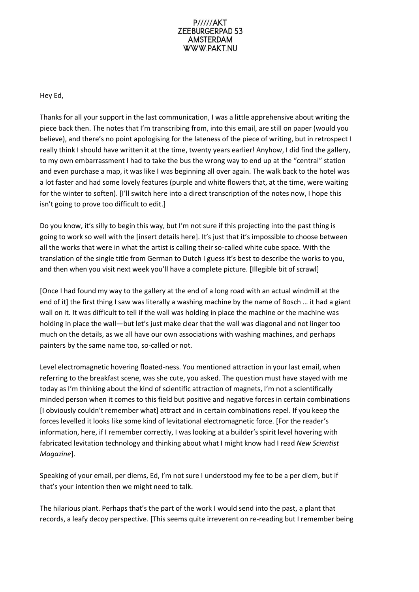### **P/////AKT** ZEEBURGERPAD 53 **AMSTERDAM** WWW.PAKT.NU

# Hey Ed,

Thanks for all your support in the last communication, I was a little apprehensive about writing the piece back then. The notes that I'm transcribing from, into this email, are still on paper (would you believe), and there's no point apologising for the lateness of the piece of writing, but in retrospect I really think I should have written it at the time, twenty years earlier! Anyhow, I did find the gallery, to my own embarrassment I had to take the bus the wrong way to end up at the "central" station and even purchase a map, it was like I was beginning all over again. The walk back to the hotel was a lot faster and had some lovely features (purple and white flowers that, at the time, were waiting for the winter to soften). [I'll switch here into a direct transcription of the notes now, I hope this isn't going to prove too difficult to edit.]

Do you know, it's silly to begin this way, but I'm not sure if this projecting into the past thing is going to work so well with the [insert details here]. It's just that it's impossible to choose between all the works that were in what the artist is calling their so-called white cube space. With the translation of the single title from German to Dutch I guess it's best to describe the works to you, and then when you visit next week you'll have a complete picture. [Illegible bit of scrawl]

[Once I had found my way to the gallery at the end of a long road with an actual windmill at the end of it] the first thing I saw was literally a washing machine by the name of Bosch … it had a giant wall on it. It was difficult to tell if the wall was holding in place the machine or the machine was holding in place the wall—but let's just make clear that the wall was diagonal and not linger too much on the details, as we all have our own associations with washing machines, and perhaps painters by the same name too, so-called or not.

Level electromagnetic hovering floated-ness. You mentioned attraction in your last email, when referring to the breakfast scene, was she cute, you asked. The question must have stayed with me today as I'm thinking about the kind of scientific attraction of magnets, I'm not a scientifically minded person when it comes to this field but positive and negative forces in certain combinations [I obviously couldn't remember what] attract and in certain combinations repel. If you keep the forces levelled it looks like some kind of levitational electromagnetic force. [For the reader's information, here, if I remember correctly, I was looking at a builder's spirit level hovering with fabricated levitation technology and thinking about what I might know had I read *New Scientist Magazine*].

Speaking of your email, per diems, Ed, I'm not sure I understood my fee to be a per diem, but if that's your intention then we might need to talk.

The hilarious plant. Perhaps that's the part of the work I would send into the past, a plant that records, a leafy decoy perspective. [This seems quite irreverent on re-reading but I remember being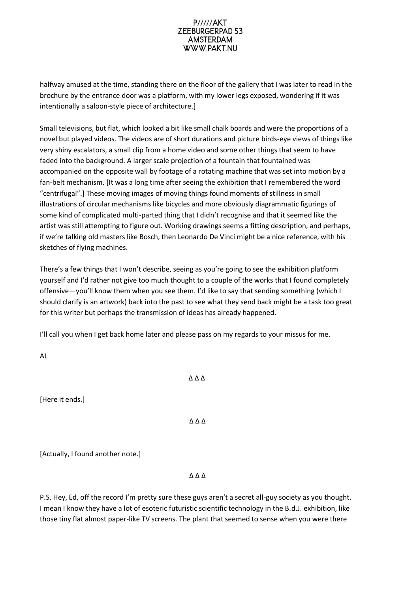# **P/////AKT** ZEEBURGERPAD 53 **AMSTERDAM** WWW.PAKT.NU

halfway amused at the time, standing there on the floor of the gallery that I was later to read in the brochure by the entrance door was a platform, with my lower legs exposed, wondering if it was intentionally a saloon-style piece of architecture.]

Small televisions, but flat, which looked a bit like small chalk boards and were the proportions of a novel but played videos. The videos are of short durations and picture birds-eye views of things like very shiny escalators, a small clip from a home video and some other things that seem to have faded into the background. A larger scale projection of a fountain that fountained was accompanied on the opposite wall by footage of a rotating machine that was set into motion by a fan-belt mechanism. [It was a long time after seeing the exhibition that I remembered the word "centrifugal".] These moving images of moving things found moments of stillness in small illustrations of circular mechanisms like bicycles and more obviously diagrammatic figurings of some kind of complicated multi-parted thing that I didn't recognise and that it seemed like the artist was still attempting to figure out. Working drawings seems a fitting description, and perhaps, if we're talking old masters like Bosch, then Leonardo De Vinci might be a nice reference, with his sketches of flying machines.

There's a few things that I won't describe, seeing as you're going to see the exhibition platform yourself and I'd rather not give too much thought to a couple of the works that I found completely offensive—you'll know them when you see them. I'd like to say that sending something (which I should clarify is an artwork) back into the past to see what they send back might be a task too great for this writer but perhaps the transmission of ideas has already happened.

I'll call you when I get back home later and please pass on my regards to your missus for me.

AL

[Here it ends.]

∆ ∆ ∆

∆ ∆ ∆

[Actually, I found another note.]

∆ ∆ ∆

P.S. Hey, Ed, off the record I'm pretty sure these guys aren't a secret all-guy society as you thought. I mean I know they have a lot of esoteric futuristic scientific technology in the B.d.J. exhibition, like those tiny flat almost paper-like TV screens. The plant that seemed to sense when you were there